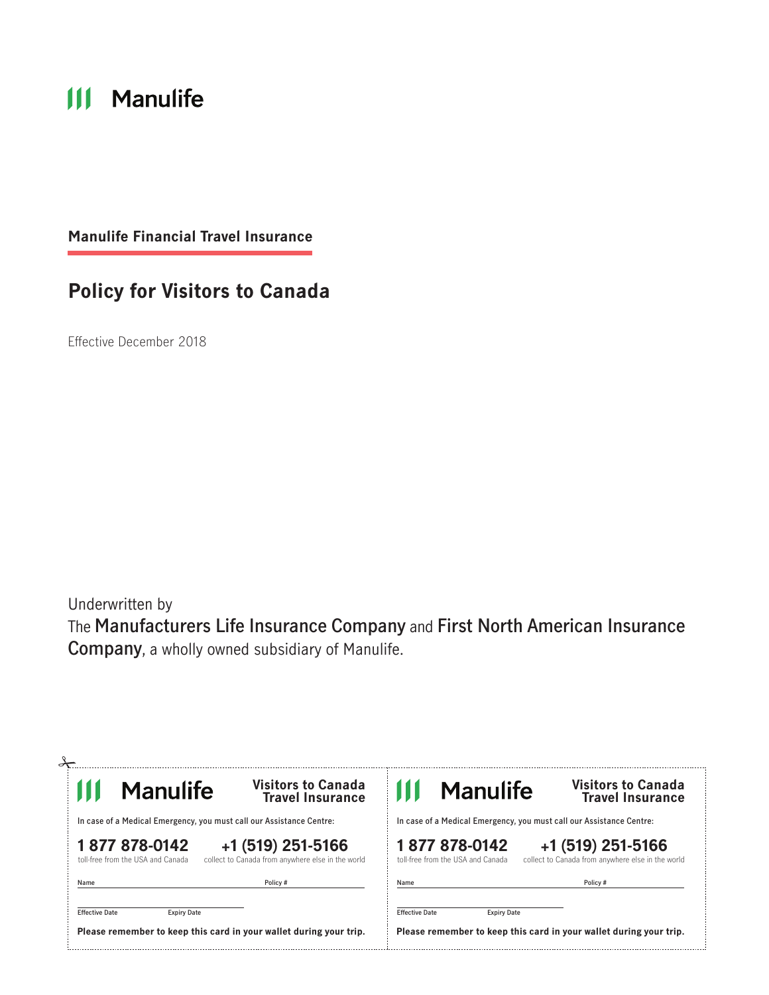# **III** Manulife

**Manulife Financial Travel Insurance** 

## **Policy for Visitors to Canada**

Effective December 2018

Underwritten by The **Manufacturers Life Insurance Company** and **First North American Insurance Company**, a wholly owned subsidiary of Manulife.

| <b>Manulife</b>                                                      | <b>Visitors to Canada</b><br><b>Travel Insurance</b>                   | <b>Manulife</b>                                                      | <b>Visitors to Canada</b><br><b>Travel Insurance</b>                   |
|----------------------------------------------------------------------|------------------------------------------------------------------------|----------------------------------------------------------------------|------------------------------------------------------------------------|
| In case of a Medical Emergency, you must call our Assistance Centre: |                                                                        | In case of a Medical Emergency, you must call our Assistance Centre: |                                                                        |
| 1877878-0142<br>toll-free from the USA and Canada                    | +1 (519) 251-5166<br>collect to Canada from anywhere else in the world | 1877878-0142<br>toll-free from the USA and Canada                    | +1 (519) 251-5166<br>collect to Canada from anywhere else in the world |
| Name                                                                 | Policy #                                                               | Name                                                                 | Policy#                                                                |
| <b>Effective Date</b><br><b>Expiry Date</b>                          |                                                                        | <b>Effective Date</b><br><b>Expiry Date</b>                          |                                                                        |
|                                                                      | Please remember to keep this card in your wallet during your trip.     |                                                                      | Please remember to keep this card in your wallet during your trip.     |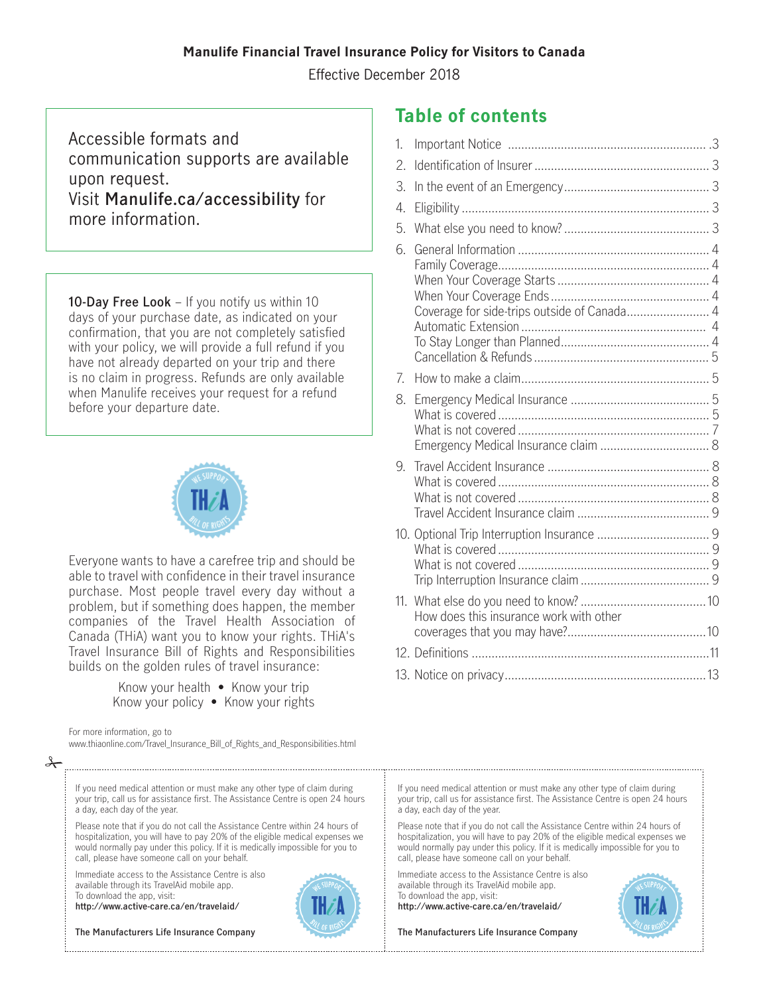#### **Manulife Financial Travel Insurance Policy for Visitors to Canada**

Effective December 2018

Accessible formats and communication supports are available upon request. Visit **[Manulife.ca/accessibility](http://Manulife.ca/accessibility)** for more information.

**10-Day Free Look** – If you notify us within 10 days of your purchase date, as indicated on your confirmation, that you are not completely satisfied with your policy, we will provide a full refund if you have not already departed on your trip and there is no claim in progress. Refunds are only available when Manulife receives your request for a refund before your departure date.



Everyone wants to have a carefree trip and should be able to travel with confidence in their travel insurance purchase. Most people travel every day without a problem, but if something does happen, the member companies of the Travel Health Association of Canada (THiA) want you to know your rights. THiA's Travel Insurance Bill of Rights and Responsibilities builds on the golden rules of travel insurance:

Know your policy  $\bullet$  Know your rights

For more information, go to

[www.thiaonline.com/Travel\\_Insurance\\_Bill\\_of\\_Rights\\_and\\_Responsibilities.html](http://www.thiaonline.com/Travel_Insurance_Bill_of_Rights_and_Responsibilities.html) 

#### $\rightarrow$

If you need medical attention or must make any other type of claim during your trip, call us for assistance first. The Assistance Centre is open 24 hours a day, each day of the year.

Please note that if you do not call the Assistance Centre within 24 hours of hospitalization, you will have to pay 20% of the eligible medical expenses we would normally pay under this policy. If it is medically impossible for you to call, please have someone call on your behalf.

Immediate access to the Assistance Centre is also available through its TravelAid mobile app. To download the app, visit:

**htt p://www.active-care.ca/en/travelaid/** 

**The Manufacturers Life Insurance Company** 

### **Table of contents**

| sible formats and<br>unication supports are available<br>equest.<br>lanulife.ca/accessibility for<br>nformation.                                                                                                                                                                                                                                            | 4.<br>5.                                          |  |
|-------------------------------------------------------------------------------------------------------------------------------------------------------------------------------------------------------------------------------------------------------------------------------------------------------------------------------------------------------------|---------------------------------------------------|--|
| <b>Free Look</b> $-$ If you notify us within 10<br>your purchase date, as indicated on your<br>ition, that you are not completely satisfied<br>r policy, we will provide a full refund if you<br>already departed on your trip and there<br>im in progress. Refunds are only available<br>anulife receives your request for a refund<br>our departure date. | 6.<br>Coverage for side-trips outside of Canada 4 |  |
|                                                                                                                                                                                                                                                                                                                                                             |                                                   |  |
| e wants to have a carefree trip and should be<br>avel with confidence in their travel insurance                                                                                                                                                                                                                                                             |                                                   |  |
| e. Most people travel every day without a<br>, but if something does happen, the member<br>es of the Travel Health Association of<br>(THiA) want you to know your rights. THiA's                                                                                                                                                                            | How does this insurance work with other           |  |
| surance Bill of Rights and Responsibilities                                                                                                                                                                                                                                                                                                                 |                                                   |  |
| in the golden rules of travel insurance:<br>Know your health • Know your trip                                                                                                                                                                                                                                                                               |                                                   |  |

If you need medical attention or must make any other type of claim during your trip, call us for assistance first. The Assistance Centre is open 24 hours a day, each day of the year.

Please note that if you do not call the Assistance Centre within 24 hours of hospitalization, you will have to pay 20% of the eligible medical expenses we would normally pay under this policy. If it is medically impossible for you to call, please have someone call on your behalf.

Immediate access to the Assistance Centre is also available through its TravelAid mobile app. To download the app, visit:

**htt p://www.active-care.ca/en/travelaid/** 

**The Manufacturers Life Insurance Company** 

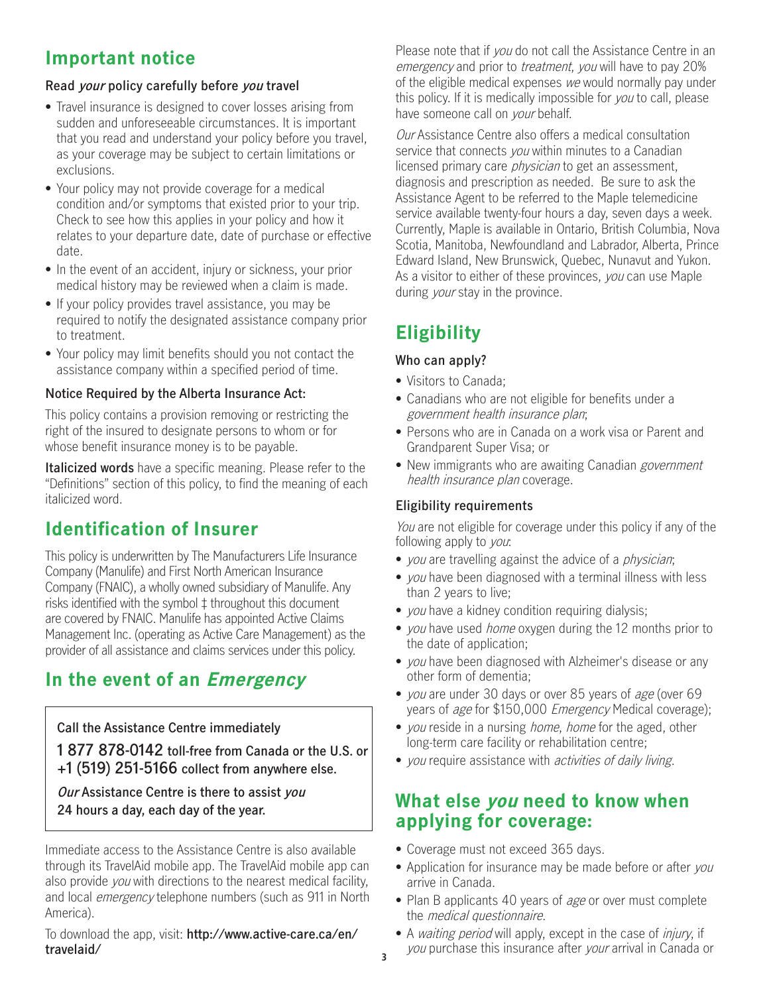## **Important notice**

#### **Read your policy carefully before you travel**

- • Travel insurance is designed to cover losses arising from sudden and unforeseeable circumstances. It is important that you read and understand your policy before you travel, as your coverage may be subject to certain limitations or exclusions.
- • Your policy may not provide coverage for a medical condition and/or symptoms that existed prior to your trip. Check to see how this applies in your policy and how it relates to your departure date, date of purchase or effective date.
- • In the event of an accident, injury or sickness, your prior medical history may be reviewed when a claim is made.
- • If your policy provides travel assistance, you may be required to notify the designated assistance company prior to treatment.
- • Your policy may limit benefits should you not contact the assistance company within a specified period of time.

#### **Notice Required by the Alberta Insurance Act:**

This policy contains a provision removing or restricting the right of the insured to designate persons to whom or for whose benefit insurance money is to be payable.

**Italicized words** have a specific meaning. Please refer to the "Definitions" section of this policy, to find the meaning of each italicized word.

## **Identification of Insurer**

This policy is underwritten by The Manufacturers Life Insurance Company (Manulife) and First North American Insurance Company (FNAIC), a wholly owned subsidiary of Manulife. Any risks identified with the symbol ‡ throughout this document are covered by FNAIC. Manulife has appointed Active Claims Management Inc. (operating as Active Care Management) as the provider of all assistance and claims services under this policy.

## **In the event of an Emergency**

**Call the Assistance Centre immediately** 

**1 877 878-0142 toll-free from Canada or the U.S. or +1 (519) 251-5166 collect from anywhere else.**

 **Our Assistance Centre is there to assist you 24 hours a day, each day of the year.** 

Immediate access to the Assistance Centre is also available through its TravelAid mobile app. The TravelAid mobile app can also provide you with directions to the nearest medical facility, and local emergency telephone numbers (such as 911 in North America).

To download the app, visit: **[http://www.active-care.ca/en/](http://www.active-care.ca/en/travelaid/)  [travelaid/](http://www.active-care.ca/en/travelaid/)** 

Please note that if you do not call the Assistance Centre in an emergency and prior to *treatment*, you will have to pay 20% of the eligible medical expenses we would normally pay under this policy. If it is medically impossible for you to call, please have someone call on *your* behalf.

service available twenty-four hours a day, seven days a week. **Our Assistance Centre also offers a medical consultation** service that connects you within minutes to a Canadian licensed primary care *physician* to get an assessment, diagnosis and prescription as needed. Be sure to ask the Assistance Agent to be referred to the Maple telemedicine Currently, Maple is available in Ontario, British Columbia, Nova Scotia, Manitoba, Newfoundland and Labrador, Alberta, Prince Edward Island, New Brunswick, Quebec, Nunavut and Yukon. As a visitor to either of these provinces, you can use Maple during *your* stay in the province.

## **Eligibility**

#### **Who can apply?**

- Visitors to Canada;
- • Canadians who are not eligible for benefits under a government health insurance plan;
- • Persons who are in Canada on a work visa or Parent and Grandparent Super Visa; or
- New immigrants who are awaiting Canadian *government* health insurance plan coverage.

#### **Eligibility requirements**

You are not eligible for coverage under this policy if any of the following apply to *you*:

- you are travelling against the advice of a *physician*;
- *vou* have been diagnosed with a terminal illness with less than 2 years to live;
- you have a kidney condition requiring dialysis;
- you have used home oxygen during the 12 months prior to the date of application;
- you have been diagnosed with Alzheimer's disease or any other form of dementia;
- you are under 30 days or over 85 years of age (over 69 years of *age* for \$150,000 *Emergency* Medical coverage);
- you reside in a nursing *home, home* for the aged, other long-term care facility or rehabilitation centre;
- you require assistance with *activities of daily living*.

## **What else you need to know when applying for coverage:**

- Coverage must not exceed 365 days.
- Application for insurance may be made before or after you arrive in Canada.
- Plan B applicants 40 years of *age* or over must complete the medical questionnaire.
- A *waiting period* will apply, except in the case of *injury*, if you purchase this insurance after your arrival in Canada or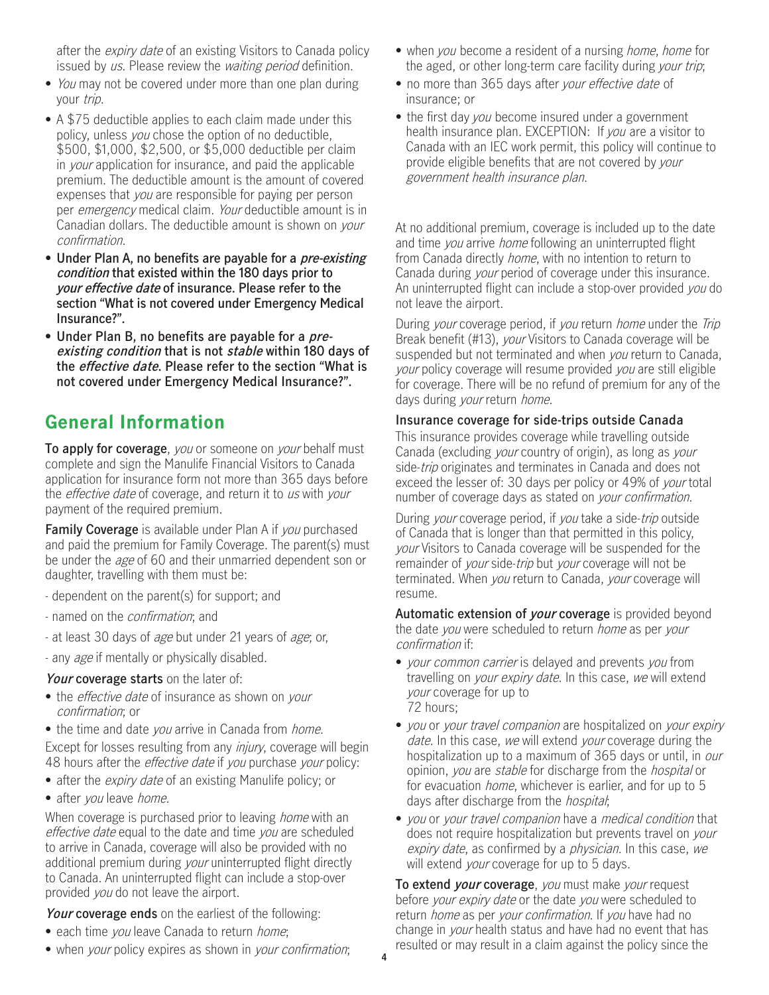after the *expiry date* of an existing Visitors to Canada policy issued by us. Please review the *waiting period* definition.

- You may not be covered under more than one plan during vour trip.
- • A \$75 deductible applies to each claim made under this policy, unless you chose the option of no deductible, \$500, \$1,000, \$2,500, or \$5,000 deductible per claim in *your* application for insurance, and paid the applicable premium. The deductible amount is the amount of covered expenses that *you* are responsible for paying per person per emergency medical claim. Your deductible amount is in Canadian dollars. The deductible amount is shown on your confirmation.
- **Under Plan A, no benefits are payable for a pre-existing condition that existed within the 180 days prior to your effective date of insurance. Please refer to the section "What is not covered under Emergency Medical Insurance?".**
- **• Under Plan B, no benefits are payable for a preexisting condition that is not stable within 180 days of the effective date. Please refer to the section "What is not covered under Emergency Medical Insurance?".**

## **General Information**

**To apply for coverage**, you or someone on your behalf must complete and sign the Manulife Financial Visitors to Canada application for insurance form not more than 365 days before the *effective date* of coverage, and return it to us with your payment of the required premium.

**Family Coverage** is available under Plan A if you purchased and paid the premium for Family Coverage. The parent(s) must be under the *age* of 60 and their unmarried dependent son or daughter, travelling with them must be:

- dependent on the parent(s) for support; and
- named on the confirmation; and
- at least 30 days of age but under 21 years of age; or,
- any age if mentally or physically disabled.

**Your coverage starts** on the later of:

• the *effective date* of insurance as shown on *your* confirmation; or

• the time and date you arrive in Canada from *home*. Except for losses resulting from any *injury*, coverage will begin 48 hours after the *effective date* if you purchase your policy:

- after the *expiry date* of an existing Manulife policy; or
- after you leave home.

When coverage is purchased prior to leaving *home* with an effective date equal to the date and time you are scheduled to arrive in Canada, coverage will also be provided with no additional premium during *your* uninterrupted flight directly to Canada. An uninterrupted flight can include a stop-over provided you do not leave the airport.

**Your coverage ends** on the earliest of the following:

- each time you leave Canada to return home;
- when your policy expires as shown in your confirmation;
- when *you* become a resident of a nursing *home*, *home* for the aged, or other long-term care facility during your trip;
- no more than 365 days after your effective date of insurance; or
- health insurance plan. EXCEPTION: If you are a visitor to • the first day you become insured under a government Canada with an IEC work permit, this policy will continue to provide eligible benefits that are not covered by your government health insurance plan.

At no additional premium, coverage is included up to the date and time you arrive home following an uninterrupted flight from Canada directly *home*, with no intention to return to Canada during your period of coverage under this insurance. An uninterrupted flight can include a stop-over provided you do not leave the airport.

During your coverage period, if you return home under the Trip Break benefit (#13), your Visitors to Canada coverage will be suspended but not terminated and when *you* return to Canada, your policy coverage will resume provided you are still eligible for coverage. There will be no refund of premium for any of the days during *your* return *home*.

#### **Insurance coverage for side-trips outside Canada**

This insurance provides coverage while travelling outside Canada (excluding your country of origin), as long as your side-trip originates and terminates in Canada and does not exceed the lesser of: 30 days per policy or 49% of your total number of coverage days as stated on your confirmation.

During your coverage period, if you take a side-trip outside of Canada that is longer than that permitted in this policy, your Visitors to Canada coverage will be suspended for the remainder of *your* side-*trip* but *your* coverage will not be terminated. When you return to Canada, your coverage will resume.

**Automatic extension of your coverage** is provided beyond the date you were scheduled to return home as per your confirmation if:

- *your common carrier* is delayed and prevents you from travelling on your expiry date. In this case, we will extend your coverage for up to 72 hours;
- you or your travel companion are hospitalized on your expiry date. In this case, we will extend your coverage during the hospitalization up to a maximum of 365 days or until, in *our* opinion, you are stable for discharge from the hospital or for evacuation *home*, whichever is earlier, and for up to 5 days after discharge from the *hospital*;
- you or your travel companion have a medical condition that does not require hospitalization but prevents travel on your expiry date, as confirmed by a physician. In this case, we will extend your coverage for up to 5 days.

**To extend your coverage**, you must make your request before your expiry date or the date you were scheduled to return *home* as per your confirmation. If you have had no change in your health status and have had no event that has resulted or may result in a claim against the policy since the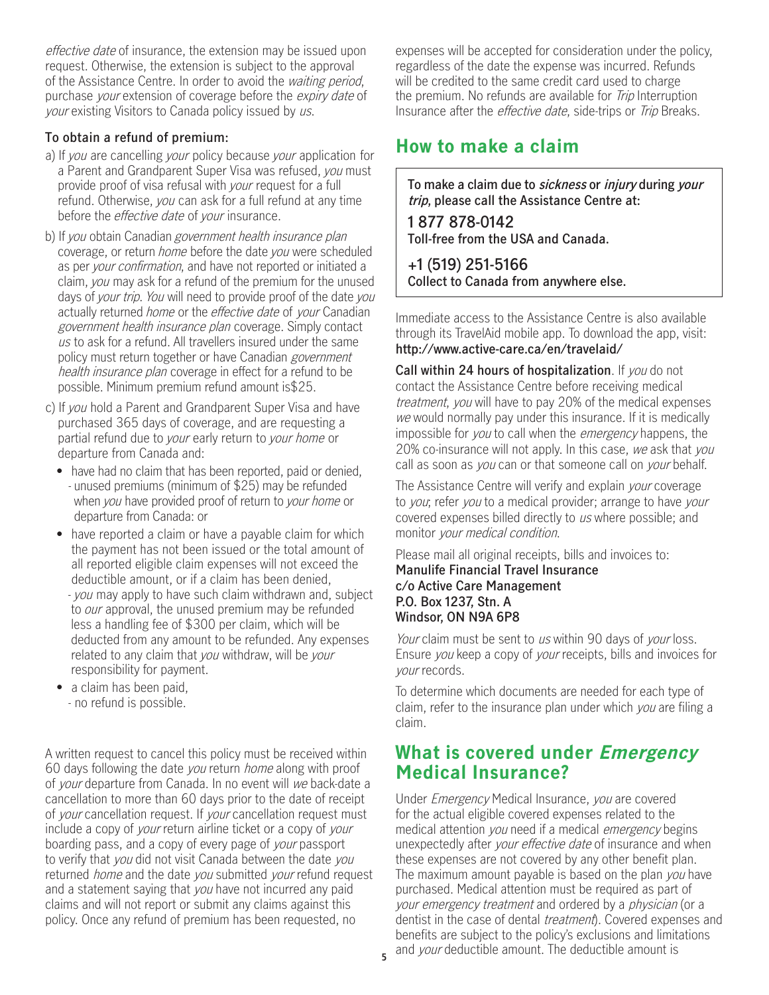effective date of insurance, the extension may be issued upon request. Otherwise, the extension is subject to the approval of the Assistance Centre. In order to avoid the waiting period, purchase your extension of coverage before the expiry date of your existing Visitors to Canada policy issued by us.

#### **To obtain a refund of premium:**

- a) If you are cancelling your policy because your application for a Parent and Grandparent Super Visa was refused, you must provide proof of visa refusal with your request for a full refund. Otherwise, you can ask for a full refund at any time before the *effective date* of *your* insurance.
- b) If you obtain Canadian government health insurance plan coverage, or return home before the date you were scheduled as per your confirmation, and have not reported or initiated a claim, you may ask for a refund of the premium for the unused days of your trip. You will need to provide proof of the date you actually returned *home* or the *effective date* of *your* Canadian government health insurance plan coverage. Simply contact us to ask for a refund. All travellers insured under the same policy must return together or have Canadian government health insurance plan coverage in effect for a refund to be possible. Minimum premium refund amount is\$25.
- c) If you hold a Parent and Grandparent Super Visa and have purchased 365 days of coverage, and are requesting a partial refund due to your early return to your home or departure from Canada and:
	- have had no claim that has been reported, paid or denied. - unused premiums (minimum of \$25) may be refunded when you have provided proof of return to your home or departure from Canada: or
	- have reported a claim or have a payable claim for which the payment has not been issued or the total amount of all reported eligible claim expenses will not exceed the deductible amount, or if a claim has been denied,
		- you may apply to have such claim withdrawn and, subject to *our* approval, the unused premium may be refunded less a handling fee of \$300 per claim, which will be deducted from any amount to be refunded. Any expenses related to any claim that you withdraw, will be your responsibility for payment.
	- a claim has been paid, - no refund is possible.

A written request to cancel this policy must be received within 60 days following the date you return home along with proof of your departure from Canada. In no event will we back-date a cancellation to more than 60 days prior to the date of receipt of your cancellation request. If your cancellation request must include a copy of *your* return airline ticket or a copy of *your* boarding pass, and a copy of every page of your passport to verify that you did not visit Canada between the date you returned *home* and the date you submitted your refund request and a statement saying that you have not incurred any paid claims and will not report or submit any claims against this policy. Once any refund of premium has been requested, no

expenses will be accepted for consideration under the policy, regardless of the date the expense was incurred. Refunds will be credited to the same credit card used to charge the premium. No refunds are available for *Trip* Interruption Insurance after the effective date, side-trips or Trip Breaks.

## **How to make a claim**

**To make a claim due to sickness or injury during your trip, please call the Assistance Centre at:** 

 **1 877 878-0142 Toll-free from the USA and Canada.** 

**+1 (519) 251-5166 Collect to Canada from anywhere else.** 

Immediate access to the Assistance Centre is also available through its TravelAid mobile app. To download the app, visit: **[http://www.active-care.ca/en/travelaid](http://www.active-care.ca/en/travelaid/)/** 

**Call within 24 hours of hospitalization**. If you do not contact the Assistance Centre before receiving medical treatment, you will have to pay 20% of the medical expenses we would normally pay under this insurance. If it is medically impossible for you to call when the *emergency* happens, the 20% co-insurance will not apply. In this case, we ask that you call as soon as you can or that someone call on your behalf.

The Assistance Centre will verify and explain *your* coverage to you; refer you to a medical provider; arrange to have your covered expenses billed directly to us where possible; and monitor your medical condition.

Please mail all original receipts, bills and invoices to: **Manulife Financial Travel Insurance c/o Active Care Management P.O. Box 1237, Stn. A Windsor, ON N9A 6P8** 

Your claim must be sent to us within 90 days of your loss. Ensure you keep a copy of your receipts, bills and invoices for your records.

To determine which documents are needed for each type of claim, refer to the insurance plan under which you are filing a claim.

### **What is covered under Emergency Medical Insurance?**

your emergency treatment and ordered by a physician (or a Under Emergency Medical Insurance, you are covered for the actual eligible covered expenses related to the medical attention you need if a medical emergency begins unexpectedly after *your effective date* of insurance and when these expenses are not covered by any other benefit plan. The maximum amount payable is based on the plan you have purchased. Medical attention must be required as part of dentist in the case of dental *treatment*). Covered expenses and benefits are subject to the policy's exclusions and limitations and your deductible amount. The deductible amount is **<sup>5</sup>**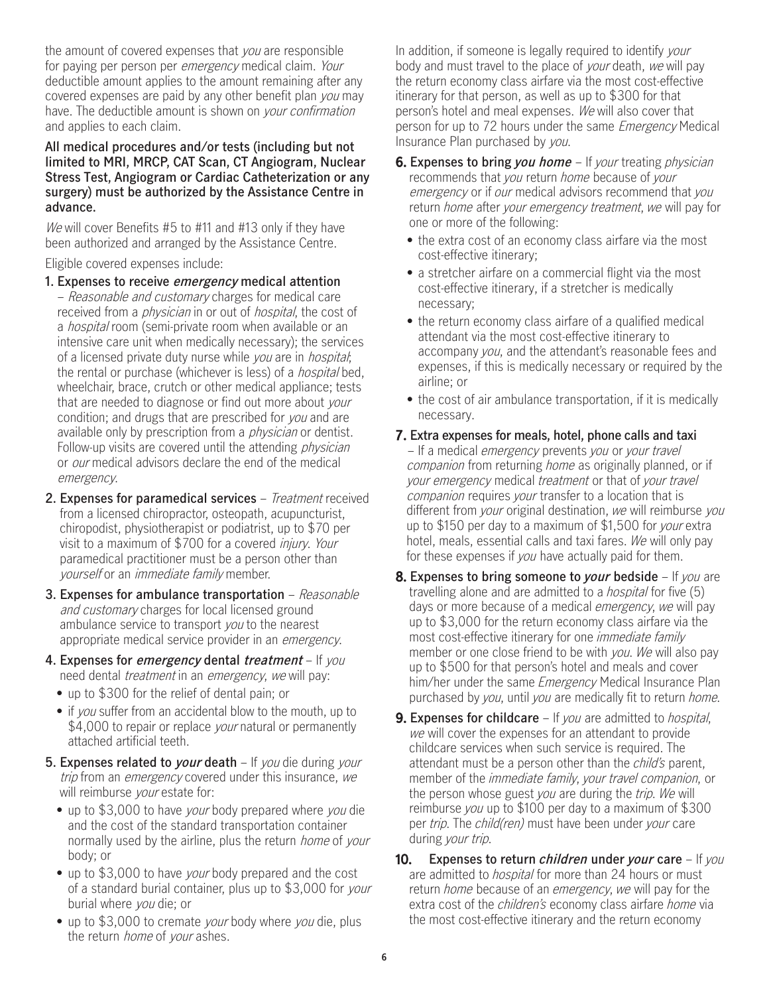the amount of covered expenses that you are responsible for paying per person per *emergency* medical claim. Your deductible amount applies to the amount remaining after any covered expenses are paid by any other benefit plan you may have. The deductible amount is shown on your confirmation and applies to each claim.

#### **All medical procedures and/or tests (including but not limited to MRI, MRCP, CAT Scan, CT Angiogram, Nuclear Stress Test, Angiogram or Cardiac Catheterization or any surgery) must be authorized by the Assistance Centre in advance.**

We will cover Benefits #5 to #11 and #13 only if they have been authorized and arranged by the Assistance Centre.

Eligible covered expenses include:

#### **1. Expenses to receive emergency medical attention**

- Reasonable and customary charges for medical care received from a *physician* in or out of *hospital*, the cost of a hospital room (semi-private room when available or an intensive care unit when medically necessary); the services of a licensed private duty nurse while you are in hospital; the rental or purchase (whichever is less) of a *hospital* bed, wheelchair, brace, crutch or other medical appliance; tests that are needed to diagnose or find out more about your condition; and drugs that are prescribed for you and are available only by prescription from a *physician* or dentist. Follow-up visits are covered until the attending *physician* or our medical advisors declare the end of the medical emergency.
- **2. Expenses for paramedical services** Treatment received from a licensed chiropractor, osteopath, acupuncturist, chiropodist, physiotherapist or podiatrist, up to \$70 per visit to a maximum of \$700 for a covered injury. Your paramedical practitioner must be a person other than yourself or an *immediate family* member.
- **3. Expenses for ambulance transportation** Reasonable and customary charges for local licensed ground ambulance service to transport you to the nearest appropriate medical service provider in an emergency.
- **4. Expenses for emergency dental treatment** If you need dental *treatment* in an *emergency*, we will pay:
	- up to \$300 for the relief of dental pain; or
	- if you suffer from an accidental blow to the mouth, up to \$4,000 to repair or replace *your* natural or permanently attached artificial teeth.
- **5. Expenses related to your death** If you die during your trip from an *emergency* covered under this insurance, we will reimburse your estate for:
	- up to \$3,000 to have *your* body prepared where *you* die and the cost of the standard transportation container normally used by the airline, plus the return *home* of your body; or
	- up to \$3,000 to have *your* body prepared and the cost of a standard burial container, plus up to \$3,000 for your burial where you die; or
	- up to \$3,000 to cremate your body where you die, plus the return *home* of your ashes.

In addition, if someone is legally required to identify your body and must travel to the place of *your* death, we will pay the return economy class airfare via the most cost-effective itinerary for that person, as well as up to \$300 for that person's hotel and meal expenses. We will also cover that person for up to 72 hours under the same Emergency Medical Insurance Plan purchased by you.

- return *home* after your emergency treatment, we will pay for **6. Expenses to bring** *you home* – If *your* treating *physician* recommends that you return home because of your emergency or if our medical advisors recommend that you one or more of the following:
	- • the extra cost of an economy class airfare via the most cost-effective itinerary;
	- • a stretcher airfare on a commercial flight via the most cost-effective itinerary, if a stretcher is medically necessary;
	- • the return economy class airfare of a qualified medical attendant via the most cost-effective itinerary to accompany you, and the attendant's reasonable fees and expenses, if this is medically necessary or required by the airline; or
	- the cost of air ambulance transportation, if it is medically necessary.

#### **7. Extra expenses for meals, hotel, phone calls and taxi**

– If a medical *emergency* prevents you or your travel companion from returning home as originally planned, or if your emergency medical treatment or that of your travel companion requires your transfer to a location that is different from your original destination, we will reimburse you up to \$150 per day to a maximum of \$1,500 for *your* extra hotel, meals, essential calls and taxi fares. We will only pay for these expenses if you have actually paid for them.

- **8. Expenses to bring someone to your bedside**  If you are travelling alone and are admitted to a hospital for five (5) days or more because of a medical *emergency*, we will pay up to \$3,000 for the return economy class airfare via the most cost-effective itinerary for one immediate family member or one close friend to be with you. We will also pay up to \$500 for that person's hotel and meals and cover him/her under the same *Emergency* Medical Insurance Plan purchased by you, until you are medically fit to return home.
- we will cover the expenses for an attendant to provide **9. Expenses for childcare** – If you are admitted to hospital, childcare services when such service is required. The attendant must be a person other than the *child's* parent. member of the immediate family, your travel companion, or the person whose guest you are during the *trip. We* will reimburse you up to \$100 per day to a maximum of \$300 per trip. The child(ren) must have been under your care during *your trip.*
- are admitted to *hospital* for more than 24 hours or must **10. Expenses to return children under your care** – If you return *home* because of an *emergency*, we will pay for the extra cost of the *children's* economy class airfare *home* via the most cost-effective itinerary and the return economy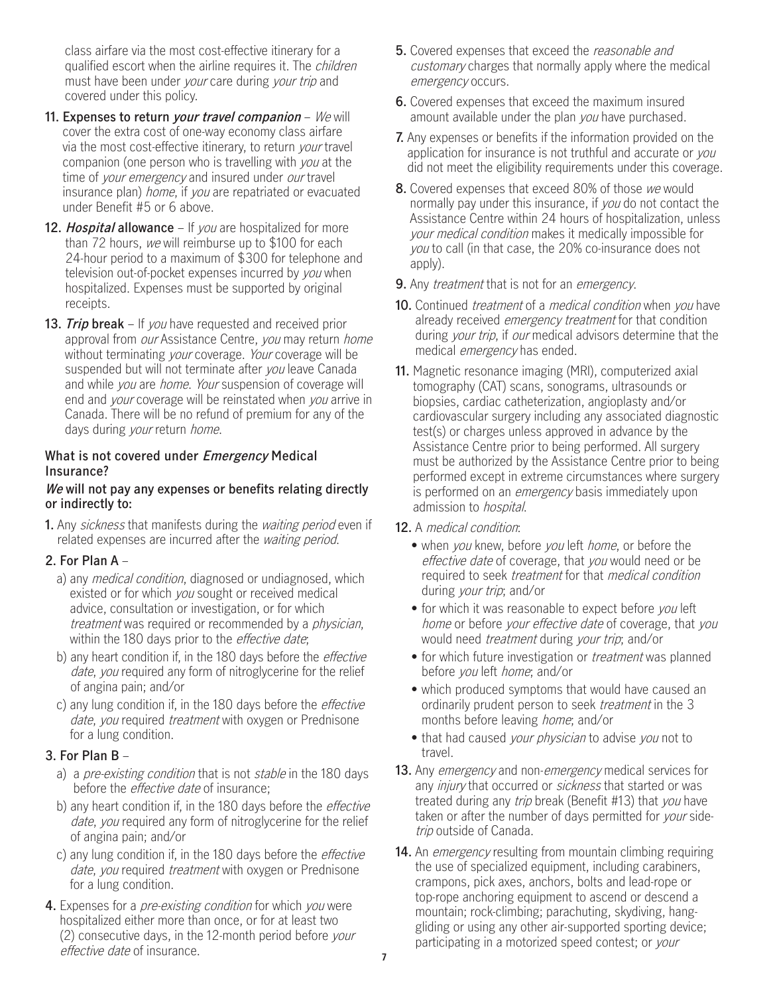class airfare via the most cost-effective itinerary for a qualified escort when the airline requires it. The *children* must have been under your care during your trip and covered under this policy.

- **11. Expenses to return your travel companion** We will via the most cost-effective itinerary, to return *your* travel cover the extra cost of one-way economy class airfare companion (one person who is travelling with you at the time of your emergency and insured under our travel insurance plan) home, if you are repatriated or evacuated under Benefit #5 or 6 above.
- **12. Hospital allowance** If you are hospitalized for more than 72 hours, we will reimburse up to \$100 for each 24-hour period to a maximum of \$300 for telephone and television out-of-pocket expenses incurred by you when hospitalized. Expenses must be supported by original receipts.
- **13. Trip break**  If you have requested and received prior approval from our Assistance Centre, you may return home without terminating *your* coverage. *Your* coverage will be suspended but will not terminate after you leave Canada and while you are home. Your suspension of coverage will end and *your* coverage will be reinstated when *you* arrive in Canada. There will be no refund of premium for any of the days during your return home.

#### **What is not covered under Emergency Medical Insurance?**

#### **We will not pay any expenses or benefits relating directly or indirectly to:**

 **1.** Any sickness that manifests during the waiting period even if related expenses are incurred after the *waiting period*.

#### **2. For Plan A** –

- a) any *medical condition*, diagnosed or undiagnosed, which existed or for which you sought or received medical advice, consultation or investigation, or for which treatment was required or recommended by a *physician*, within the 180 days prior to the *effective date*;
- b) any heart condition if, in the 180 days before the *effective* date, you required any form of nitroglycerine for the relief of angina pain; and/or
- c) any lung condition if, in the 180 days before the effective date, you required *treatment* with oxygen or Prednisone for a lung condition.

#### **3. For Plan B** –

- a) a pre-existing condition that is not stable in the 180 days before the *effective date* of insurance;
- b) any heart condition if, in the 180 days before the *effective* date, you required any form of nitroglycerine for the relief of angina pain; and/or
- c) any lung condition if, in the 180 days before the *effective* date, you required treatment with oxygen or Prednisone for a lung condition.
- **4.** Expenses for a pre-existing condition for which you were hospitalized either more than once, or for at least two (2) consecutive days, in the 12-month period before your effective date of insurance. **<sup>7</sup>**
- **5.** Covered expenses that exceed the reasonable and customary charges that normally apply where the medical emergency occurs.
- **6.** Covered expenses that exceed the maximum insured amount available under the plan you have purchased.
- **7.** Any expenses or benefits if the information provided on the application for insurance is not truthful and accurate or you did not meet the eligibility requirements under this coverage.
- **8.** Covered expenses that exceed 80% of those we would normally pay under this insurance, if you do not contact the Assistance Centre within 24 hours of hospitalization, unless your medical condition makes it medically impossible for you to call (in that case, the 20% co-insurance does not apply).
- **9.** Any *treatment* that is not for an *emergency*.
- **10.** Continued *treatment* of a *medical condition* when you have already received emergency treatment for that condition during *your trip*, if *our* medical advisors determine that the medical emergency has ended.
- **11.** Magnetic resonance imaging (MRI), computerized axial tomography (CAT) scans, sonograms, ultrasounds or biopsies, cardiac catheterization, angioplasty and/or cardiovascular surgery including any associated diagnostic test(s) or charges unless approved in advance by the Assistance Centre prior to being performed. All surgery must be authorized by the Assistance Centre prior to being performed except in extreme circumstances where surgery is performed on an *emergency* basis immediately upon admission to hospital.
- **12.** A medical condition:
	- when *you* knew, before *you* left *home*, or before the effective date of coverage, that you would need or be required to seek treatment for that medical condition during your trip; and/or
	- for which it was reasonable to expect before you left home or before your effective date of coverage, that you would need treatment during your trip; and/or
	- for which future investigation or *treatment* was planned before you left home; and/or
	- • which produced symptoms that would have caused an ordinarily prudent person to seek *treatment* in the 3 months before leaving home; and/or
	- that had caused *your physician* to advise you not to travel.
- **13.** Any emergency and non-emergency medical services for any *injury* that occurred or *sickness* that started or was treated during any trip break (Benefit #13) that you have taken or after the number of days permitted for *your* sidetrip outside of Canada.
- **14.** An emergency resulting from mountain climbing requiring the use of specialized equipment, including carabiners, crampons, pick axes, anchors, bolts and lead-rope or top-rope anchoring equipment to ascend or descend a mountain; rock-climbing; parachuting, skydiving, hanggliding or using any other air-supported sporting device; participating in a motorized speed contest; or your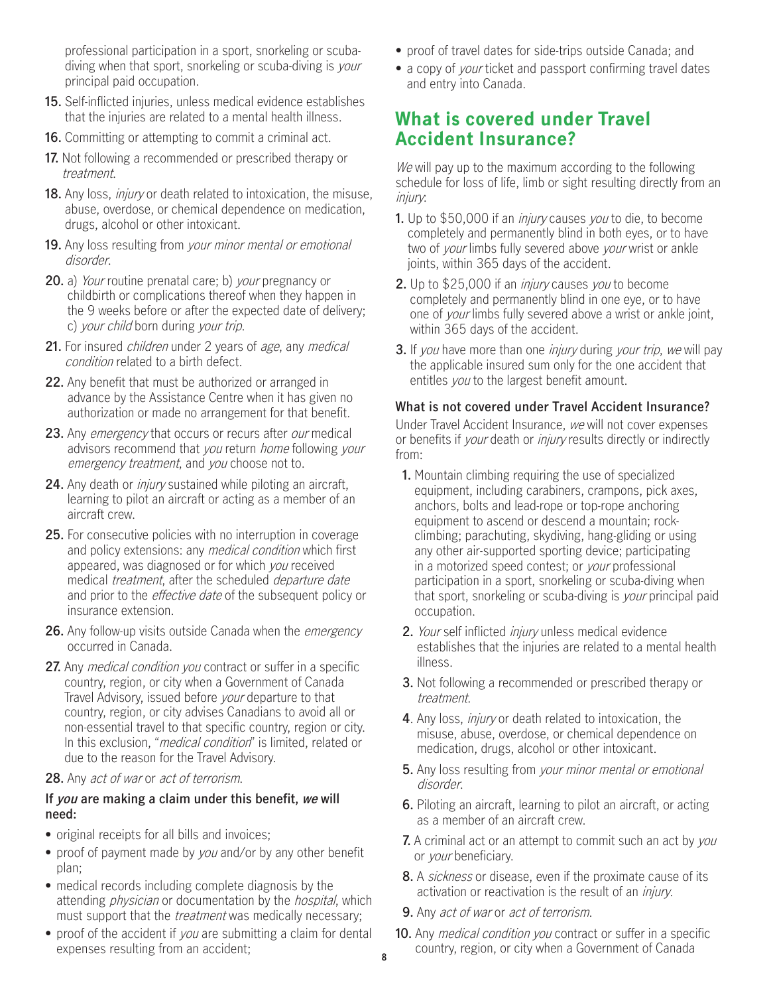professional participation in a sport, snorkeling or scubadiving when that sport, snorkeling or scuba-diving is your principal paid occupation.

- **15.** Self-inflicted injuries, unless medical evidence establishes that the injuries are related to a mental health illness.
- **16.** Committing or attempting to commit a criminal act.
- **17.** Not following a recommended or prescribed therapy or treatment.
- **18.** Any loss, injury or death related to intoxication, the misuse, abuse, overdose, or chemical dependence on medication, drugs, alcohol or other intoxicant.
- **19.** Any loss resulting from your minor mental or emotional disorder.
- **20.** a) Your routine prenatal care; b) your pregnancy or childbirth or complications thereof when they happen in the 9 weeks before or after the expected date of delivery; c) your child born during your trip.
- **21.** For insured children under 2 years of age, any medical condition related to a birth defect.
- **22.** Any benefit that must be authorized or arranged in advance by the Assistance Centre when it has given no authorization or made no arrangement for that benefit.
- **23.** Any emergency that occurs or recurs after our medical advisors recommend that you return home following your emergency treatment, and you choose not to.
- **24.** Any death or injury sustained while piloting an aircraft, learning to pilot an aircraft or acting as a member of an aircraft crew.
- **25.** For consecutive policies with no interruption in coverage and policy extensions: any *medical condition* which first appeared, was diagnosed or for which you received medical treatment, after the scheduled departure date and prior to the *effective date* of the subsequent policy or insurance extension.
- **26.** Any follow-up visits outside Canada when the emergency occurred in Canada.
- **27.** Any *medical condition you* contract or suffer in a specific country, region, or city when a Government of Canada Travel Advisory, issued before your departure to that country, region, or city advises Canadians to avoid all or non-essential travel to that specific country, region or city. In this exclusion, "medical condition" is limited, related or due to the reason for the Travel Advisory.

#### **28.** Any act of war or act of terrorism.

#### **If you are making a claim under this benefit, we will need:**

- original receipts for all bills and invoices;
- proof of payment made by *you* and/or by any other benefit plan;
- • medical records including complete diagnosis by the attending *physician* or documentation by the *hospital*, which must support that the *treatment* was medically necessary;
- proof of the accident if *you* are submitting a claim for dental expenses resulting from an accident;
- proof of travel dates for side-trips outside Canada; and
- a copy of *your* ticket and passport confirming travel dates and entry into Canada.

### **What is covered under Travel Accident Insurance?**

We will pay up to the maximum according to the following schedule for loss of life, limb or sight resulting directly from an injury:

- **1.** Up to \$50,000 if an injury causes you to die, to become completely and permanently blind in both eyes, or to have two of your limbs fully severed above your wrist or ankle joints, within 365 days of the accident.
- **2.** Up to \$25,000 if an injury causes you to become completely and permanently blind in one eye, or to have one of *your* limbs fully severed above a wrist or ankle joint, within 365 days of the accident.
- **3.** If you have more than one *injury* during your trip, we will pay the applicable insured sum only for the one accident that entitles you to the largest benefit amount.

#### **What is not covered under Travel Accident Insurance?**

Under Travel Accident Insurance, we will not cover expenses or benefits if your death or *injury* results directly or indirectly from:

- **1.** Mountain climbing requiring the use of specialized equipment, including carabiners, crampons, pick axes, anchors, bolts and lead-rope or top-rope anchoring equipment to ascend or descend a mountain; rockclimbing; parachuting, skydiving, hang-gliding or using any other air-supported sporting device; participating in a motorized speed contest; or your professional participation in a sport, snorkeling or scuba-diving when that sport, snorkeling or scuba-diving is your principal paid occupation.
- **2.** Your self inflicted injury unless medical evidence establishes that the injuries are related to a mental health illness.
- **3.** Not following a recommended or prescribed therapy or treatment.
- **4**. Any loss, injury or death related to intoxication, the misuse, abuse, overdose, or chemical dependence on medication, drugs, alcohol or other intoxicant.
- **5.** Any loss resulting from your minor mental or emotional disorder.
- **6.** Piloting an aircraft, learning to pilot an aircraft, or acting as a member of an aircraft crew.
- **7.** A criminal act or an attempt to commit such an act by you or your beneficiary.
- **8.** A sickness or disease, even if the proximate cause of its activation or reactivation is the result of an *injury*.
- **9.** Any act of war or act of terrorism.
- **10.** Any medical condition you contract or suffer in a specific country, region, or city when a Government of Canada **8**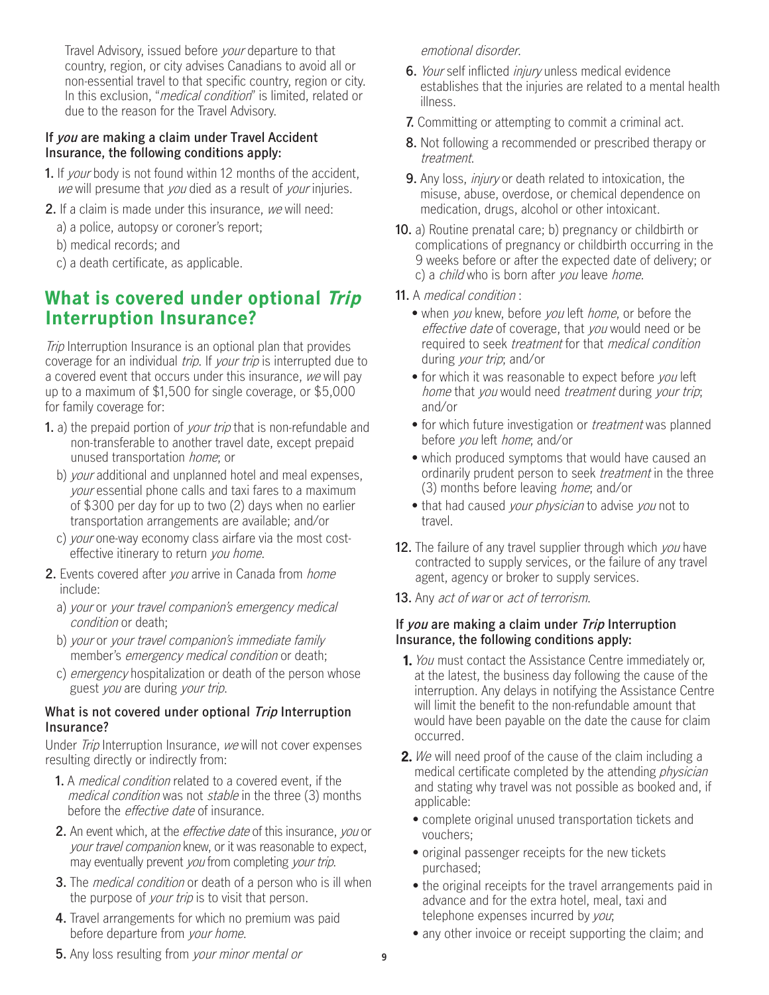Travel Advisory, issued before your departure to that country, region, or city advises Canadians to avoid all or non-essential travel to that specific country, region or city. In this exclusion, "*medical condition*" is limited, related or due to the reason for the Travel Advisory.

#### **If you are making a claim under Travel Accident Insurance, the following conditions apply:**

- **1.** If your body is not found within 12 months of the accident, we will presume that you died as a result of your injuries.
- **2.** If a claim is made under this insurance, we will need:
	- a) a police, autopsy or coroner's report;
	- b) medical records; and
	- c) a death certificate, as applicable.

## **What is covered under optional Trip Interruption Insurance?**

**Trip Interruption Insurance is an optional plan that provides** coverage for an individual *trip*. If *your trip* is interrupted due to a covered event that occurs under this insurance, we will pay up to a maximum of \$1,500 for single coverage, or \$5,000 for family coverage for:

- **1.** a) the prepaid portion of *your trip* that is non-refundable and non-transferable to another travel date, except prepaid unused transportation home; or
	- b) your additional and unplanned hotel and meal expenses, your essential phone calls and taxi fares to a maximum of \$300 per day for up to two (2) days when no earlier transportation arrangements are available; and/or
	- c) your one-way economy class airfare via the most costeffective itinerary to return you home.
- **2.** Events covered after you arrive in Canada from home include:
	- a) your or your travel companion's emergency medical condition or death;
	- b) your or your travel companion's immediate family member's *emergency medical condition* or death;
	- c) emergency hospitalization or death of the person whose guest you are during your trip.

#### **What is not covered under optional Trip Interruption Insurance?**

Under *Trip* Interruption Insurance, we will not cover expenses resulting directly or indirectly from:

- **1.** A medical condition related to a covered event, if the medical condition was not *stable* in the three (3) months before the *effective date* of insurance.
- **2.** An event which, at the effective date of this insurance, you or your travel companion knew, or it was reasonable to expect, may eventually prevent you from completing your trip.
- **3.** The medical condition or death of a person who is ill when the purpose of *your trip* is to visit that person.
- **4.** Travel arrangements for which no premium was paid before departure from your home.

emotional disorder.

- **6.** Your self inflicted injury unless medical evidence establishes that the injuries are related to a mental health illness.
- **7.** Committing or attempting to commit a criminal act.
- **8.** Not following a recommended or prescribed therapy or treatment.
- **9.** Any loss, *injury* or death related to intoxication, the misuse, abuse, overdose, or chemical dependence on medication, drugs, alcohol or other intoxicant.
- **10.** a) Routine prenatal care; b) pregnancy or childbirth or complications of pregnancy or childbirth occurring in the 9 weeks before or after the expected date of delivery; or c) a *child* who is born after you leave *home*.
- **11.** A medical condition :
	- when you knew, before you left *home*, or before the effective date of coverage, that you would need or be required to seek treatment for that medical condition during your trip; and/or
	- for which it was reasonable to expect before you left home that you would need *treatment* during your trip; and/or
	- for which future investigation or *treatment* was planned before you left home; and/or
	- • which produced symptoms that would have caused an ordinarily prudent person to seek *treatment* in the three (3) months before leaving home; and/or
	- that had caused your physician to advise you not to travel.
- **12.** The failure of any travel supplier through which you have contracted to supply services, or the failure of any travel agent, agency or broker to supply services.
- **13.** Any act of war or act of terrorism.

#### **If you are making a claim under Trip Interruption Insurance, the following conditions apply:**

- **1.** You must contact the Assistance Centre immediately or, at the latest, the business day following the cause of the interruption. Any delays in notifying the Assistance Centre will limit the benefit to the non-refundable amount that would have been payable on the date the cause for claim occurred.
- **2.** We will need proof of the cause of the claim including a medical certificate completed by the attending *physician* and stating why travel was not possible as booked and, if applicable:
	- • complete original unused transportation tickets and vouchers;
	- • original passenger receipts for the new tickets purchased;
	- • the original receipts for the travel arrangements paid in advance and for the extra hotel, meal, taxi and telephone expenses incurred by you;
	- any other invoice or receipt supporting the claim; and

**5.** Any loss resulting from your minor mental or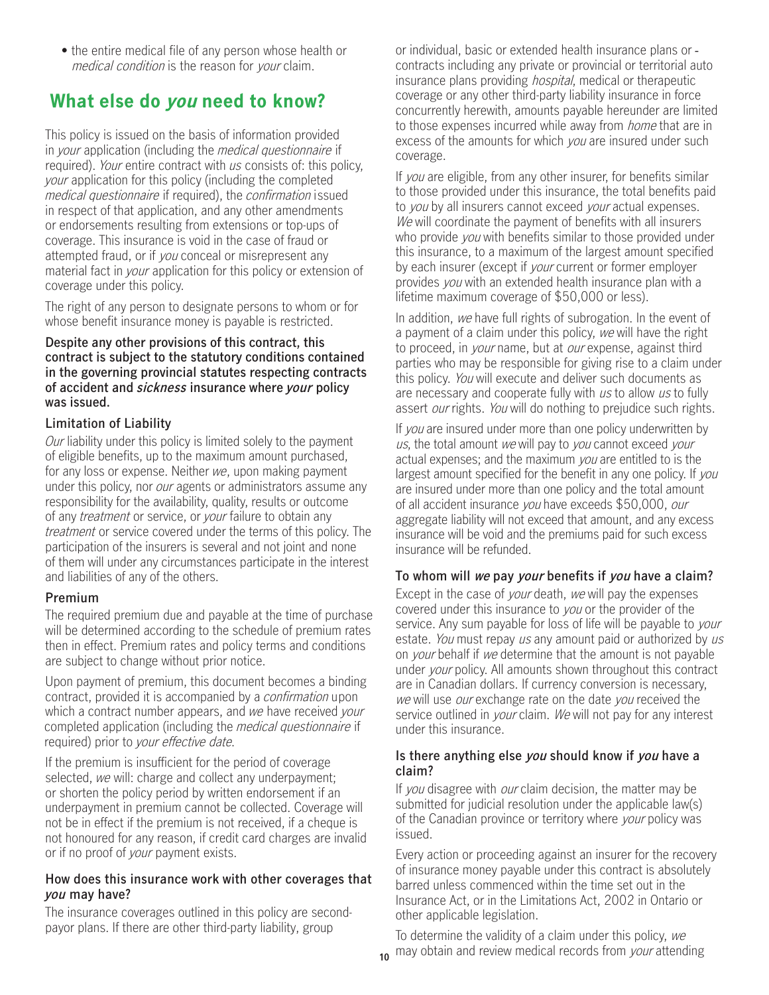medical condition is the reason for your claim.

## **What else do you need to know?**

This policy is issued on the basis of information provided in your application (including the medical questionnaire if required). Your entire contract with us consists of: this policy, your application for this policy (including the completed medical questionnaire if required), the *confirmation* issued in respect of that application, and any other amendments or endorsements resulting from extensions or top-ups of coverage. This insurance is void in the case of fraud or attempted fraud, or if you conceal or misrepresent any material fact in your application for this policy or extension of coverage under this policy.

The right of any person to designate persons to whom or for whose benefit insurance money is payable is restricted.

**Despite any other provisions of this contract, this contract is subject to the statutory conditions contained in the governing provincial statutes respecting contracts of accident and sickness insurance where your policy was issued.** 

#### **Limitation of Liability**

Our liability under this policy is limited solely to the payment of eligible benefits, up to the maximum amount purchased, for any loss or expense. Neither we, upon making payment under this policy, nor *our* agents or administrators assume any responsibility for the availability, quality, results or outcome of any *treatment* or service, or *your* failure to obtain any treatment or service covered under the terms of this policy. The participation of the insurers is several and not joint and none of them will under any circumstances participate in the interest and liabilities of any of the others.

#### **Premium**

The required premium due and payable at the time of purchase will be determined according to the schedule of premium rates then in effect. Premium rates and policy terms and conditions are subject to change without prior notice.

required) prior to *your effective date*. Upon payment of premium, this document becomes a binding contract, provided it is accompanied by a confirmation upon which a contract number appears, and we have received your completed application (including the medical questionnaire if

If the premium is insufficient for the period of coverage selected, we will: charge and collect any underpayment; or shorten the policy period by written endorsement if an underpayment in premium cannot be collected. Coverage will not be in effect if the premium is not received, if a cheque is not honoured for any reason, if credit card charges are invalid or if no proof of *your* payment exists.

#### **How does this insurance work with other coverages that you may have?**

The insurance coverages outlined in this policy are secondpayor plans. If there are other third-party liability, group

• the entire medical file of any person whose health or or individual, basic or extended health insurance plans or or individual, basic or extended health insurance plans or contracts including any private or provincial or territorial auto insurance plans providing *hospital*, medical or therapeutic coverage or any other third-party liability insurance in force concurrently herewith, amounts payable hereunder are limited to those expenses incurred while away from *home* that are in excess of the amounts for which you are insured under such coverage.

> If you are eligible, from any other insurer, for benefits similar to those provided under this insurance, the total benefits paid to you by all insurers cannot exceed your actual expenses. We will coordinate the payment of benefits with all insurers who provide *you* with benefits similar to those provided under this insurance, to a maximum of the largest amount specified by each insurer (except if *your* current or former employer provides you with an extended health insurance plan with a lifetime maximum coverage of \$50,000 or less).

In addition, we have full rights of subrogation. In the event of a payment of a claim under this policy, we will have the right to proceed, in *your* name, but at *our* expense, against third parties who may be responsible for giving rise to a claim under this policy. You will execute and deliver such documents as are necessary and cooperate fully with us to allow us to fully assert *our* rights. You will do nothing to prejudice such rights.

If you are insured under more than one policy underwritten by us, the total amount we will pay to you cannot exceed your actual expenses; and the maximum you are entitled to is the largest amount specified for the benefit in any one policy. If you are insured under more than one policy and the total amount of all accident insurance you have exceeds \$50,000, our aggregate liability will not exceed that amount, and any excess insurance will be void and the premiums paid for such excess insurance will be refunded.

#### **To whom will we pay your benefits if you have a claim?**

Except in the case of *your* death, we will pay the expenses covered under this insurance to you or the provider of the service. Any sum payable for loss of life will be payable to *your* estate. You must repay us any amount paid or authorized by us on your behalf if we determine that the amount is not payable under *your* policy. All amounts shown throughout this contract are in Canadian dollars. If currency conversion is necessary, we will use our exchange rate on the date you received the service outlined in *your* claim. We will not pay for any interest under this insurance.

#### **Is there anything else you should know if you have a claim?**

If you disagree with our claim decision, the matter may be submitted for judicial resolution under the applicable law(s) of the Canadian province or territory where *your* policy was issued.

Every action or proceeding against an insurer for the recovery of insurance money payable under this contract is absolutely barred unless commenced within the time set out in the Insurance Act, or in the Limitations Act, 2002 in Ontario or other applicable legislation.

To determine the validity of a claim under this policy, we 10</sub> may obtain and review medical records from your attending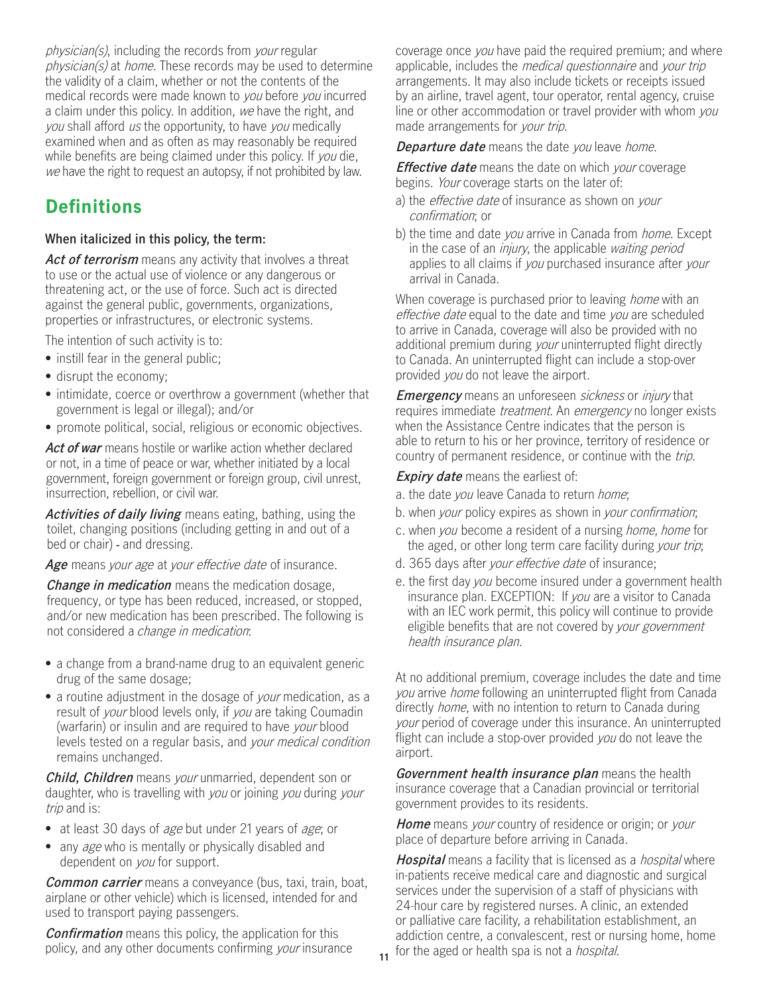physician(s), including the records from your regular physician(s) at home. These records may be used to determine the validity of a claim, whether or not the contents of the medical records were made known to you before you incurred a claim under this policy. In addition, we have the right, and you shall afford us the opportunity, to have you medically examined when and as often as may reasonably be required while benefits are being claimed under this policy. If you die, we have the right to request an autopsy, if not prohibited by law.

## **Definitions**

#### **When italicized in this policy, the term:**

Act of terrorism means any activity that involves a threat to use or the actual use of violence or any dangerous or threatening act, or the use of force. Such act is directed against the general public, governments, organizations, properties or infrastructures, or electronic systems.

The intention of such activity is to:

- instill fear in the general public;
- disrupt the economy;
- • intimidate, coerce or overthrow a government (whether that government is legal or illegal); and/or
- promote political, social, religious or economic objectives.

**Act of war** means hostile or warlike action whether declared or not, in a time of peace or war, whether initiated by a local government, foreign government or foreign group, civil unrest, insurrection, rebellion, or civil war.

**Activities of daily living** means eating, bathing, using the toilet, changing positions (including getting in and out of a bed or chair) - and dressing.

Age means your age at your effective date of insurance.

 **Change in medication** means the medication dosage, frequency, or type has been reduced, increased, or stopped, and/or new medication has been prescribed. The following is not considered a change in medication:

- • a change from a brand-name drug to an equivalent generic drug of the same dosage;
- a routine adjustment in the dosage of *your* medication, as a result of your blood levels only, if you are taking Coumadin (warfarin) or insulin and are required to have your blood levels tested on a regular basis, and your medical condition remains unchanged.

**Child, Children** means your unmarried, dependent son or daughter, who is travelling with you or joining you during your trip and is:

- at least 30 days of age but under 21 years of age; or
- any *age* who is mentally or physically disabled and dependent on *you* for support.

**Common carrier** means a conveyance (bus, taxi, train, boat, airplane or other vehicle) which is licensed, intended for and used to transport paying passengers.

**Confirmation** means this policy, the application for this policy, and any other documents confirming your insurance coverage once you have paid the required premium; and where applicable, includes the *medical questionnaire* and *your trip* arrangements. It may also include tickets or receipts issued by an airline, travel agent, tour operator, rental agency, cruise line or other accommodation or travel provider with whom you made arrangements for your trip.

**Departure date** means the date you leave home.

**Effective date** means the date on which your coverage begins. Your coverage starts on the later of:

- a) the *effective date* of insurance as shown on *your* confirmation; or
- b) the time and date you arrive in Canada from *home*. Except in the case of an *injury*, the applicable *waiting period* applies to all claims if you purchased insurance after your arrival in Canada.

When coverage is purchased prior to leaving *home* with an effective date equal to the date and time you are scheduled to arrive in Canada, coverage will also be provided with no additional premium during your uninterrupted flight directly to Canada. An uninterrupted flight can include a stop-over provided you do not leave the airport.

**Emergency** means an unforeseen *sickness* or *injury* that requires immediate *treatment*. An *emergency* no longer exists when the Assistance Centre indicates that the person is able to return to his or her province, territory of residence or country of permanent residence, or continue with the trip.

**Expiry date** means the earliest of:

- a. the date you leave Canada to return home;
- b. when your policy expires as shown in your confirmation;
- c. when you become a resident of a nursing home, home for the aged, or other long term care facility during your trip;
- d. 365 days after *your effective date* of insurance;
- e. the first day you become insured under a government health insurance plan. EXCEPTION: If you are a visitor to Canada with an IEC work permit, this policy will continue to provide eligible benefits that are not covered by your government health insurance plan.

At no additional premium, coverage includes the date and time you arrive *home* following an uninterrupted flight from Canada directly home, with no intention to return to Canada during your period of coverage under this insurance. An uninterrupted flight can include a stop-over provided you do not leave the airport.

**Government health insurance plan** means the health insurance coverage that a Canadian provincial or territorial government provides to its residents.

**Home** means your country of residence or origin; or your place of departure before arriving in Canada.

**Hospital** means a facility that is licensed as a *hospital* where in-patients receive medical care and diagnostic and surgical services under the supervision of a staff of physicians with 24-hour care by registered nurses. A clinic, an extended or palliative care facility, a rehabilitation establishment, an addiction centre, a convalescent, rest or nursing home, home for the aged or health spa is not a *hospital*.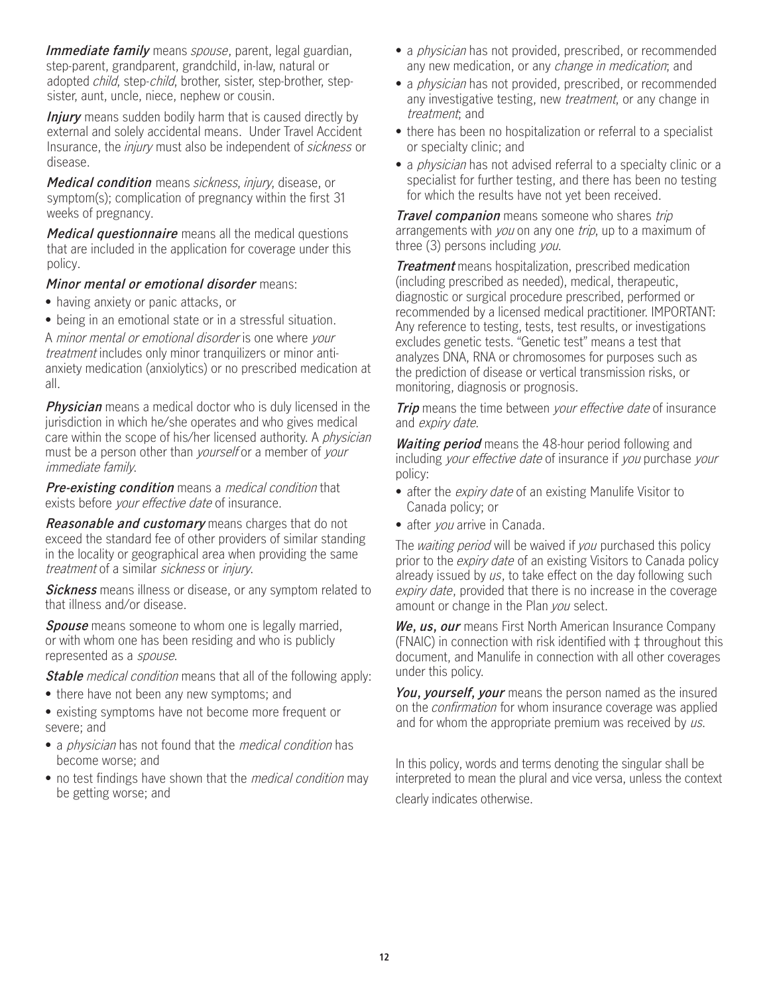**Immediate family** means spouse, parent, legal guardian, step-parent, grandparent, grandchild, in-law, natural or adopted child, step-child, brother, sister, step-brother, stepsister, aunt, uncle, niece, nephew or cousin.

**Injury** means sudden bodily harm that is caused directly by external and solely accidental means. Under Travel Accident Insurance, the *injury* must also be independent of *sickness* or disease.

**Medical condition** means sickness, injury, disease, or symptom(s); complication of pregnancy within the first 31 weeks of pregnancy.

**Medical questionnaire** means all the medical questions that are included in the application for coverage under this policy.

#### **Minor mental or emotional disorder** means:

- having anxiety or panic attacks, or
- being in an emotional state or in a stressful situation.

A minor mental or emotional disorder is one where your treatment includes only minor tranquilizers or minor antianxiety medication (anxiolytics) or no prescribed medication at all.

**Physician** means a medical doctor who is duly licensed in the jurisdiction in which he/she operates and who gives medical care within the scope of his/her licensed authority. A *physician* must be a person other than *yourself* or a member of *your* immediate family.

**Pre-existing condition** means a medical condition that exists before your effective date of insurance.

**Reasonable and customary** means charges that do not exceed the standard fee of other providers of similar standing in the locality or geographical area when providing the same treatment of a similar sickness or injury.

**Sickness** means illness or disease, or any symptom related to that illness and/or disease.

**Spouse** means someone to whom one is legally married, or with whom one has been residing and who is publicly represented as a spouse.

**Stable** medical condition means that all of the following apply:

- there have not been any new symptoms; and
- existing symptoms have not become more frequent or severe; and
- a *physician* has not found that the *medical condition* has become worse; and
- no test findings have shown that the *medical condition* may be getting worse; and
- a *physician* has not provided, prescribed, or recommended any new medication, or any *change in medication*; and
- a *physician* has not provided, prescribed, or recommended any investigative testing, new *treatment*, or any change in treatment; and
- • there has been no hospitalization or referral to a specialist or specialty clinic; and
- a *physician* has not advised referral to a specialty clinic or a specialist for further testing, and there has been no testing for which the results have not yet been received.

**Travel companion** means someone who shares trip arrangements with you on any one trip, up to a maximum of three (3) persons including you.

**Treatment** means hospitalization, prescribed medication (including prescribed as needed), medical, therapeutic, diagnostic or surgical procedure prescribed, performed or recommended by a licensed medical practitioner. IMPORTANT: Any reference to testing, tests, test results, or investigations excludes genetic tests. "Genetic test" means a test that analyzes DNA, RNA or chromosomes for purposes such as the prediction of disease or vertical transmission risks, or monitoring, diagnosis or prognosis.

**Trip** means the time between your effective date of insurance and expiry date.

**Waiting period** means the 48-hour period following and including your effective date of insurance if you purchase your policy:

- after the *expiry date* of an existing Manulife Visitor to Canada policy; or
- after you arrive in Canada.

The waiting period will be waived if you purchased this policy prior to the *expiry date* of an existing Visitors to Canada policy already issued by us, to take effect on the day following such expiry date, provided that there is no increase in the coverage amount or change in the Plan you select.

**We, us, our** means First North American Insurance Company (FNAIC) in connection with risk identified with ‡ throughout this document, and Manulife in connection with all other coverages under this policy.

**You, yourself, your** means the person named as the insured on the confirmation for whom insurance coverage was applied and for whom the appropriate premium was received by us.

In this policy, words and terms denoting the singular shall be interpreted to mean the plural and vice versa, unless the context clearly indicates otherwise.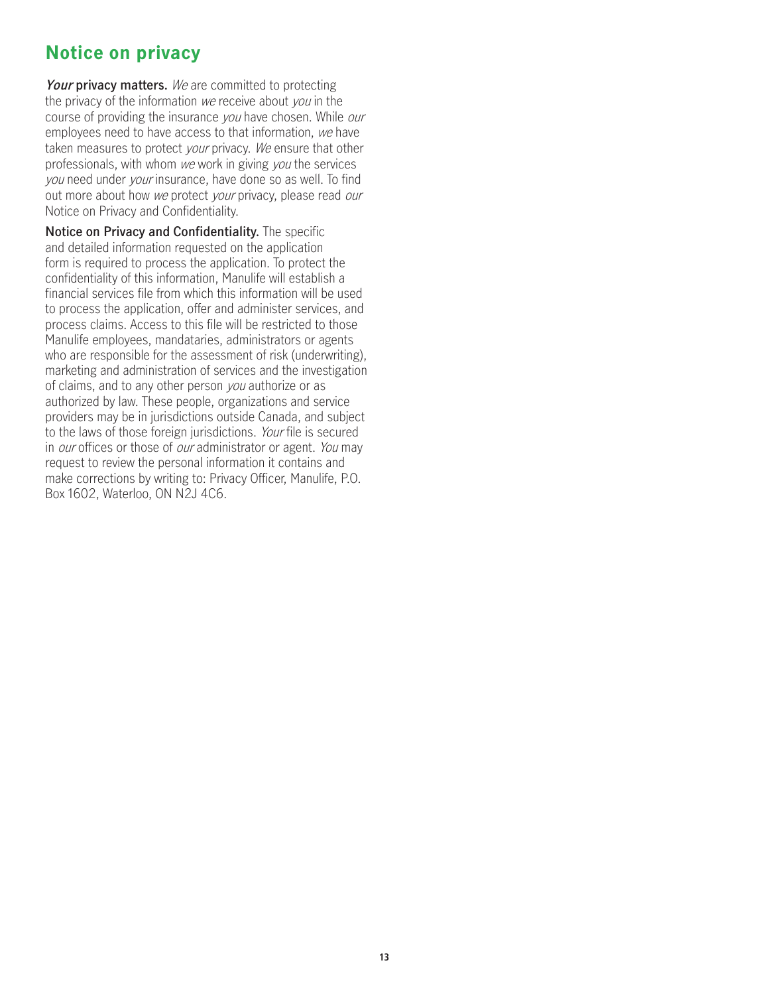## **Notice on privacy**

**Your privacy matters.** We are committed to protecting the privacy of the information we receive about you in the course of providing the insurance you have chosen. While our employees need to have access to that information, we have taken measures to protect your privacy. We ensure that other professionals, with whom we work in giving you the services you need under your insurance, have done so as well. To find out more about how we protect your privacy, please read our Notice on Privacy and Confidentiality.

**Notice on Privacy and Confidentiality.** The specific and detailed information requested on the application form is required to process the application. To protect the confidentiality of this information, Manulife will establish a financial services file from which this information will be used to process the application, offer and administer services, and process claims. Access to this file will be restricted to those Manulife employees, mandataries, administrators or agents who are responsible for the assessment of risk (underwriting). marketing and administration of services and the investigation of claims, and to any other person you authorize or as authorized by law. These people, organizations and service providers may be in jurisdictions outside Canada, and subject to the laws of those foreign jurisdictions. Your file is secured in *our* offices or those of *our* administrator or agent. You may request to review the personal information it contains and make corrections by writing to: Privacy Officer, Manulife, P.O. Box 1602, Waterloo, ON N2J 4C6.